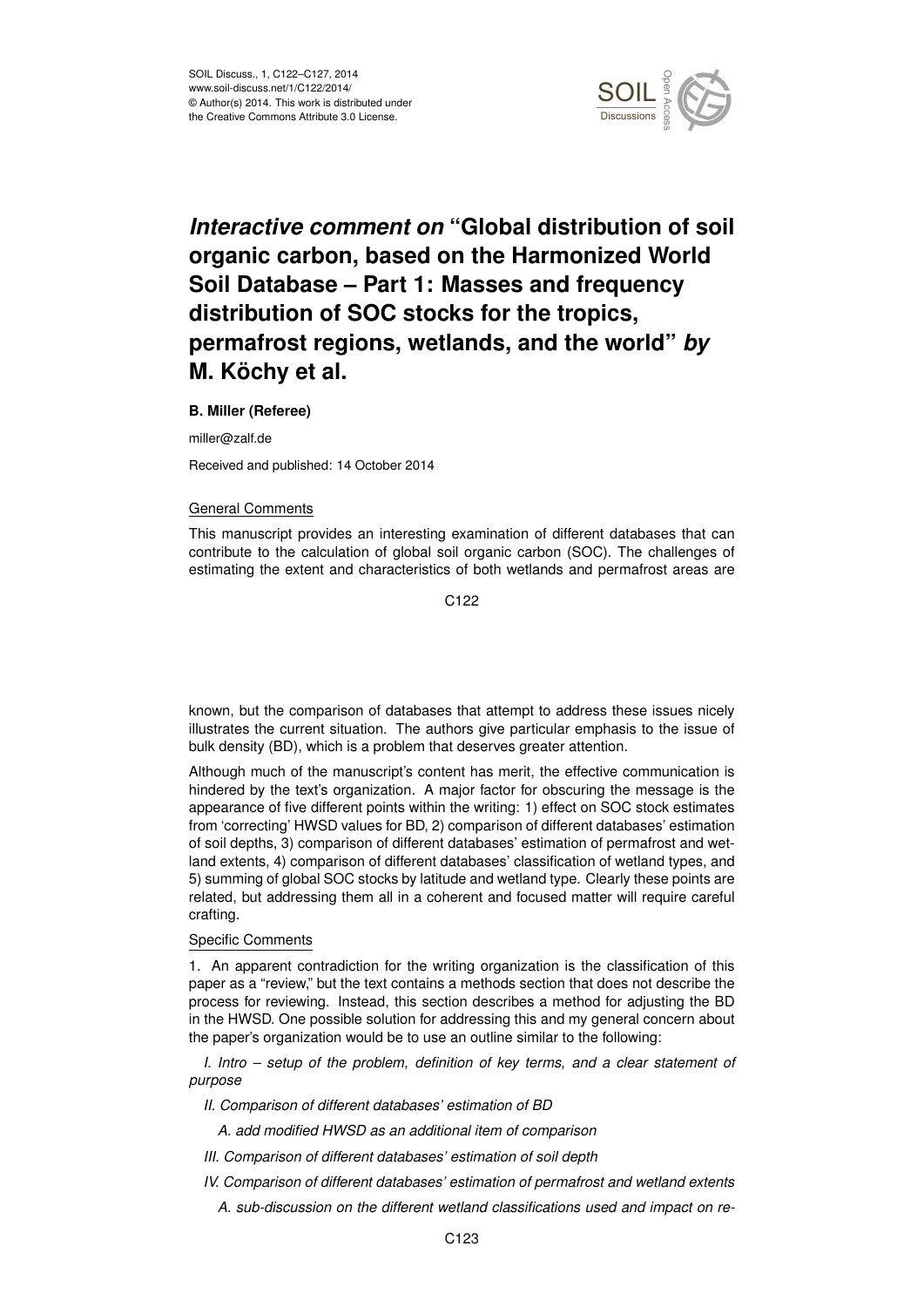

# *Interactive comment on* **"Global distribution of soil organic carbon, based on the Harmonized World Soil Database – Part 1: Masses and frequency distribution of SOC stocks for the tropics, permafrost regions, wetlands, and the world"** *by* **M. Köchy et al.**

## **B. Miller (Referee)**

miller@zalf.de

Received and published: 14 October 2014

## General Comments

This manuscript provides an interesting examination of different databases that can contribute to the calculation of global soil organic carbon (SOC). The challenges of estimating the extent and characteristics of both wetlands and permafrost areas are

C122

known, but the comparison of databases that attempt to address these issues nicely illustrates the current situation. The authors give particular emphasis to the issue of bulk density (BD), which is a problem that deserves greater attention.

Although much of the manuscript's content has merit, the effective communication is hindered by the text's organization. A major factor for obscuring the message is the appearance of five different points within the writing: 1) effect on SOC stock estimates from 'correcting' HWSD values for BD, 2) comparison of different databases' estimation of soil depths, 3) comparison of different databases' estimation of permafrost and wetland extents, 4) comparison of different databases' classification of wetland types, and 5) summing of global SOC stocks by latitude and wetland type. Clearly these points are related, but addressing them all in a coherent and focused matter will require careful crafting.

## Specific Comments

1. An apparent contradiction for the writing organization is the classification of this paper as a "review," but the text contains a methods section that does not describe the process for reviewing. Instead, this section describes a method for adjusting the BD in the HWSD. One possible solution for addressing this and my general concern about the paper's organization would be to use an outline similar to the following:

*I. Intro – setup of the problem, definition of key terms, and a clear statement of purpose*

*II. Comparison of different databases' estimation of BD*

*A. add modified HWSD as an additional item of comparison*

*III. Comparison of different databases' estimation of soil depth*

*IV. Comparison of different databases' estimation of permafrost and wetland extents*

*A. sub-discussion on the different wetland classifications used and impact on re-*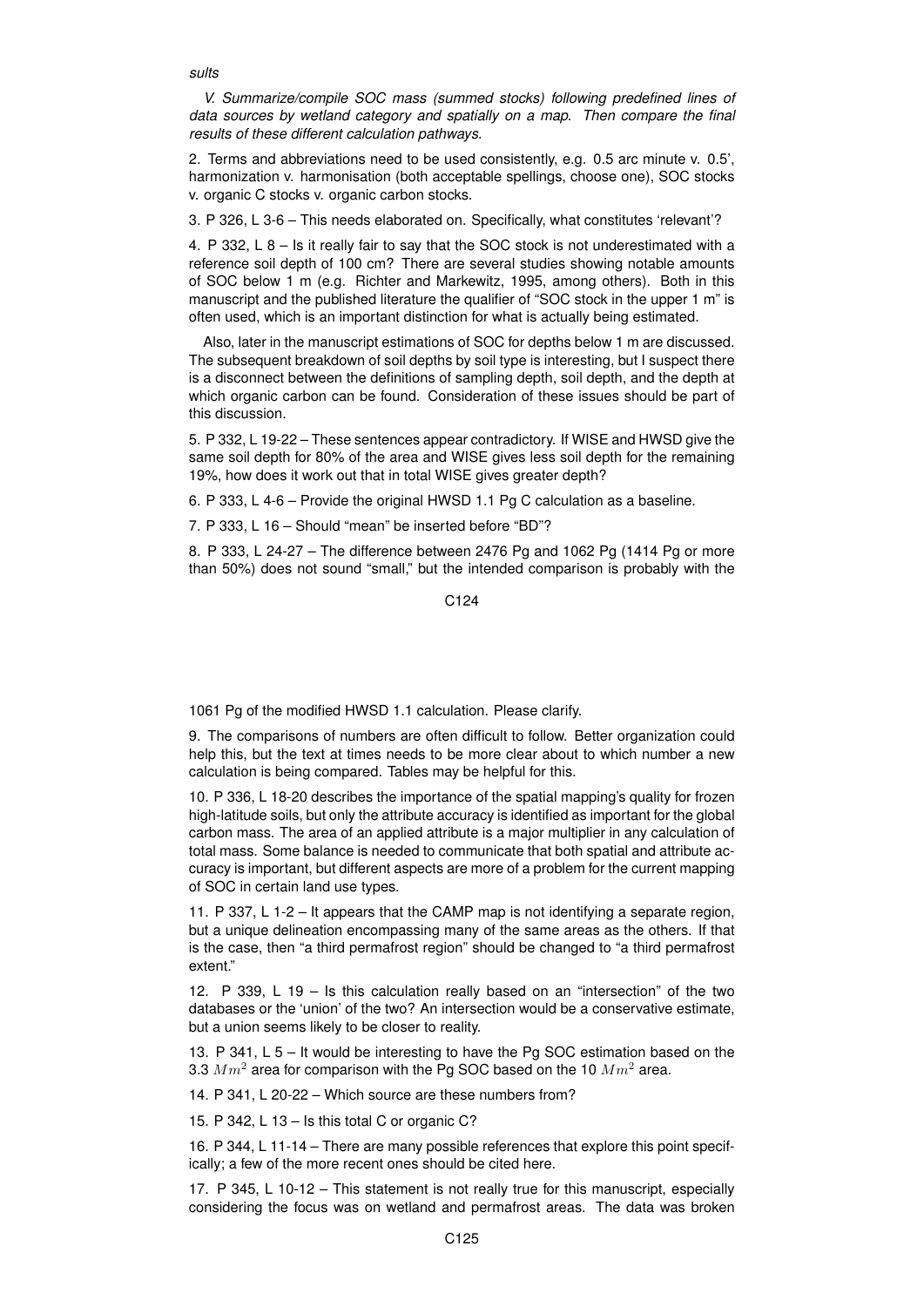*sults*

*V. Summarize/compile SOC mass (summed stocks) following predefined lines of data sources by wetland category and spatially on a map. Then compare the final results of these different calculation pathways.*

2. Terms and abbreviations need to be used consistently, e.g. 0.5 arc minute v. 0.5', harmonization v. harmonisation (both acceptable spellings, choose one), SOC stocks v. organic C stocks v. organic carbon stocks.

3. P 326, L 3-6 – This needs elaborated on. Specifically, what constitutes 'relevant'?

4. P 332, L 8 – Is it really fair to say that the SOC stock is not underestimated with a reference soil depth of 100 cm? There are several studies showing notable amounts of SOC below 1 m (e.g. Richter and Markewitz, 1995, among others). Both in this manuscript and the published literature the qualifier of "SOC stock in the upper 1 m" is often used, which is an important distinction for what is actually being estimated.

Also, later in the manuscript estimations of SOC for depths below 1 m are discussed. The subsequent breakdown of soil depths by soil type is interesting, but I suspect there is a disconnect between the definitions of sampling depth, soil depth, and the depth at which organic carbon can be found. Consideration of these issues should be part of this discussion.

5. P 332, L 19-22 – These sentences appear contradictory. If WISE and HWSD give the same soil depth for 80% of the area and WISE gives less soil depth for the remaining 19%, how does it work out that in total WISE gives greater depth?

6. P 333, L 4-6 – Provide the original HWSD 1.1 Pg C calculation as a baseline.

7. P 333, L 16 – Should "mean" be inserted before "BD"?

8. P 333, L 24-27 – The difference between 2476 Pg and 1062 Pg (1414 Pg or more than 50%) does not sound "small," but the intended comparison is probably with the

C<sub>124</sub>

1061 Pg of the modified HWSD 1.1 calculation. Please clarify.

9. The comparisons of numbers are often difficult to follow. Better organization could help this, but the text at times needs to be more clear about to which number a new calculation is being compared. Tables may be helpful for this.

10. P 336, L 18-20 describes the importance of the spatial mapping's quality for frozen high-latitude soils, but only the attribute accuracy is identified as important for the global carbon mass. The area of an applied attribute is a major multiplier in any calculation of total mass. Some balance is needed to communicate that both spatial and attribute accuracy is important, but different aspects are more of a problem for the current mapping of SOC in certain land use types.

11. P 337, L 1-2 – It appears that the CAMP map is not identifying a separate region, but a unique delineation encompassing many of the same areas as the others. If that is the case, then "a third permafrost region" should be changed to "a third permafrost extent."

12. P 339, L 19 – Is this calculation really based on an "intersection" of the two databases or the 'union' of the two? An intersection would be a conservative estimate, but a union seems likely to be closer to reality.

13. P 341, L 5 – It would be interesting to have the Pg SOC estimation based on the 3.3  $Mm^2$  area for comparison with the Pg SOC based on the 10  $Mm^2$  area.

14. P 341, L 20-22 – Which source are these numbers from?

15. P 342, L 13 – Is this total C or organic C?

16. P 344, L 11-14 – There are many possible references that explore this point specifically; a few of the more recent ones should be cited here.

17. P 345, L 10-12 – This statement is not really true for this manuscript, especially considering the focus was on wetland and permafrost areas. The data was broken